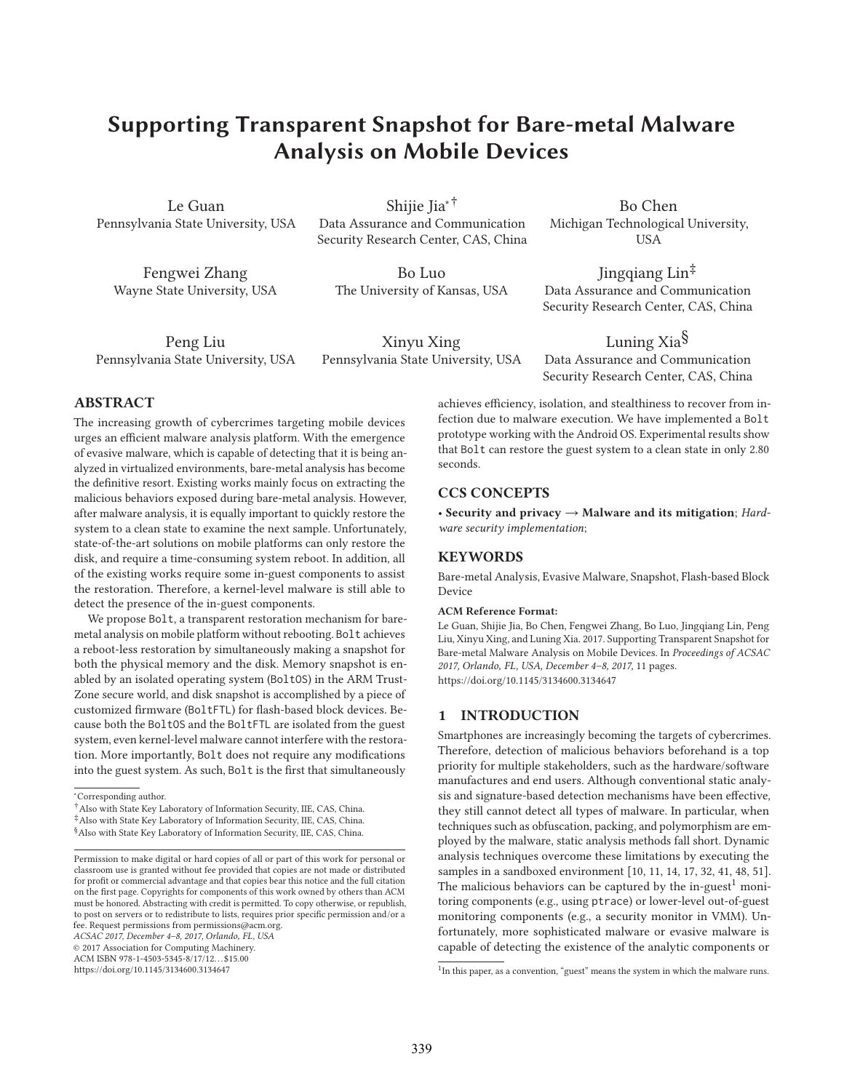# **Suppone Support Snapshot For Snapshot Snapshot For Barbers Analysis on Mobile Devices**

Le Guan Pennsylvania State University, USA

Fengwei Zhang Wayne State University, USA

Shijie Jia∗† Data Assurance and Communication Security Research Center, CAS, China

Bo Luo The University of Kansas, USA

Jingqiang Lin‡ Data Assurance and Communication Security Research Center, CAS, China

Bo Chen Michigan Technological University, USA

Peng Liu Pennsylvania State University, USA

Xinyu Xing Pennsylvania State University, USA

Luning Xia<sup>§</sup> Data Assurance and Communication Security Research Center, CAS, China

## **ABSTRACT**

The increasing growth of cybercrimes targeting mobile devices urges an efficient malware analysis platform. With the emergence of evasive malware, which is capable of detecting that it is being analyzed in virtualized environments, bare-metal analysis has become the definitive resort. Existing works mainly focus on extracting the malicious behaviors exposed during bare-metal analysis. However, after malware analysis, it is equally important to quickly restore the system to a clean state to examine the next sample. Unfortunately, state-of-the-art solutions on mobile platforms can only restore the disk, and require a time-consuming system reboot. In addition, all of the existing works require some in-guest components to assist the restoration. Therefore, a kernel-level malware is still able to detect the presence of the in-guest components.

We propose Bolt, a transparent restoration mechanism for baremetal analysis on mobile platform without rebooting. Bolt achieves a reboot-less restoration by simultaneously making a snapshot for both the physical memory and the disk. Memory snapshot is enabled by an isolated operating system (BoltOS) in the ARM Trust-Zone secure world, and disk snapshot is accomplished by a piece of customized firmware (BoltFTL) for flash-based block devices. Because both the BoltOS and the BoltFTL are isolated from the guest system, even kernel-level malware cannot interfere with the restoration. More importantly, Bolt does not require any modifications into the guest system. As such, Bolt is the first that simultaneously

∗ Corresponding author.

†Also with State Key Laboratory of Information Security, IIE, CAS, China. ‡Also with State Key Laboratory of Information Security, IIE, CAS, China.

§Also with State Key Laboratory of Information Security, IIE, CAS, China.

*ACSAC 2017, December 4–8, 2017, Orlando, FL, USA*

© 2017 Association for Computing Machinery.

ACM ISBN 978-1-4503-5345-8/17/12. . . \$15.00 https://doi.org/10.1145/3134600.3134647

achieves efficiency, isolation, and stealthiness to recover from infection due to malware execution. We have implemented a Bolt prototype working with the Android OS. Experimental results show that Bolt can restore the guest system to a clean state in only 2.80 seconds.

# **CCS CONCEPTS**

• **Security and privacy** → **Malware and its mitigation**; *Hardware security implementation*;

#### **KEYWORDS**

Bare-metal Analysis, Evasive Malware, Snapshot, Flash-based Block Device

#### **ACM Reference Format:**

Le Guan, Shijie Jia, Bo Chen, Fengwei Zhang, Bo Luo, Jingqiang Lin, Peng Liu, Xinyu Xing, and Luning Xia. 2017. Supporting Transparent Snapshot for Bare-metal Malware Analysis on Mobile Devices. In *Proceedings of ACSAC 2017, Orlando, FL, USA, December 4–8, 2017,* 11 pages. https://doi.org/10.1145/3134600.3134647

**1 INTRODUCTION**

Smartphones are increasingly becoming the targets of cybercrimes. Therefore, detection of malicious behaviors beforehand is a top priority for multiple stakeholders, such as the hardware/software manufactures and end users. Although conventional static analysis and signature-based detection mechanisms have been effective, they still cannot detect all types of malware. In particular, when techniques such as obfuscation, packing, and polymorphism are employed by the malware, static analysis methods fall short. Dynamic analysis techniques overcome these limitations by executing the samples in a sandboxed environment [10, 11, 14, 17, 32, 41, 48, 51]. The malicious behaviors can be captured by the in-guest<sup>1</sup> monitoring components (e.g., using ptrace) or lower-level out-of-guest monitoring components (e.g., a security monitor in VMM). Unfortunately, more sophisticated malware or evasive malware is capable of detecting the existence of the analytic components or

Permission to make digital or hard copies of all or part of this work for personal or classroom use is granted without fee provided that copies are not made or distributed for profit or commercial advantage and that copies bear this notice and the full citation on the first page. Copyrights for components of this work owned by others than ACM must be honored. Abstracting with credit is permitted. To copy otherwise, or republish, to post on servers or to redistribute to lists, requires prior specific permission and/or a fee. Request permissions from permissions@acm.org.

 $1$ In this paper, as a convention, "guest" means the system in which the malware runs.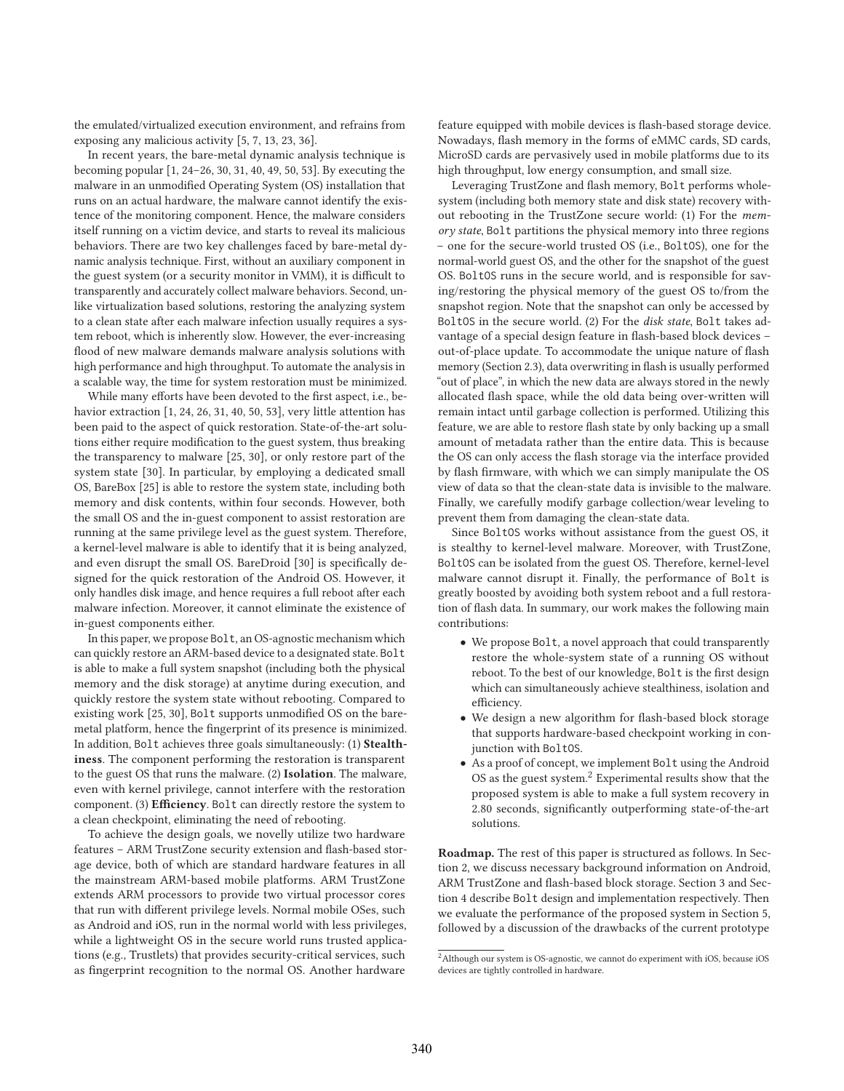the emulated/virtualized execution environment, and refrains from exposing any malicious activity [5, 7, 13, 23, 36].

In recent years, the bare-metal dynamic analysis technique is becoming popular [1, 24–26, 30, 31, 40, 49, 50, 53]. By executing the malware in an unmodified Operating System (OS) installation that runs on an actual hardware, the malware cannot identify the existence of the monitoring component. Hence, the malware considers itself running on a victim device, and starts to reveal its malicious behaviors. There are two key challenges faced by bare-metal dynamic analysis technique. First, without an auxiliary component in the guest system (or a security monitor in VMM), it is difficult to transparently and accurately collect malware behaviors. Second, unlike virtualization based solutions, restoring the analyzing system to a clean state after each malware infection usually requires a system reboot, which is inherently slow. However, the ever-increasing flood of new malware demands malware analysis solutions with high performance and high throughput. To automate the analysis in a scalable way, the time for system restoration must be minimized.

While many efforts have been devoted to the first aspect, i.e., behavior extraction [1, 24, 26, 31, 40, 50, 53], very little attention has been paid to the aspect of quick restoration. State-of-the-art solutions either require modification to the guest system, thus breaking the transparency to malware [25, 30], or only restore part of the system state [30]. In particular, by employing a dedicated small OS, BareBox [25] is able to restore the system state, including both memory and disk contents, within four seconds. However, both the small OS and the in-guest component to assist restoration are running at the same privilege level as the guest system. Therefore, a kernel-level malware is able to identify that it is being analyzed, and even disrupt the small OS. BareDroid [30] is specifically designed for the quick restoration of the Android OS. However, it only handles disk image, and hence requires a full reboot after each malware infection. Moreover, it cannot eliminate the existence of in-guest components either.

In this paper, we propose Bolt, an OS-agnostic mechanism which can quickly restore an ARM-based device to a designated state. Bolt is able to make a full system snapshot (including both the physical memory and the disk storage) at anytime during execution, and quickly restore the system state without rebooting. Compared to existing work [25, 30], Bolt supports unmodified OS on the baremetal platform, hence the fingerprint of its presence is minimized. In addition, Bolt achieves three goals simultaneously: (1) **Stealthiness**. The component performing the restoration is transparent to the guest OS that runs the malware. (2) **Isolation**. The malware, even with kernel privilege, cannot interfere with the restoration component. (3) **Efficiency**. Bolt can directly restore the system to a clean checkpoint, eliminating the need of rebooting.

To achieve the design goals, we novelly utilize two hardware features – ARM TrustZone security extension and flash-based storage device, both of which are standard hardware features in all the mainstream ARM-based mobile platforms. ARM TrustZone extends ARM processors to provide two virtual processor cores that run with different privilege levels. Normal mobile OSes, such as Android and iOS, run in the normal world with less privileges, while a lightweight OS in the secure world runs trusted applications (e.g., Trustlets) that provides security-critical services, such as fingerprint recognition to the normal OS. Another hardware

feature equipped with mobile devices is flash-based storage device. Nowadays, flash memory in the forms of eMMC cards, SD cards, MicroSD cards are pervasively used in mobile platforms due to its high throughput, low energy consumption, and small size.

Leveraging TrustZone and flash memory, Bolt performs wholesystem (including both memory state and disk state) recovery without rebooting in the TrustZone secure world: (1) For the *memory state*, Bolt partitions the physical memory into three regions – one for the secure-world trusted OS (i.e., BoltOS), one for the normal-world guest OS, and the other for the snapshot of the guest OS. BoltOS runs in the secure world, and is responsible for saving/restoring the physical memory of the guest OS to/from the snapshot region. Note that the snapshot can only be accessed by BoltOS in the secure world. (2) For the *disk state*, Bolt takes advantage of a special design feature in flash-based block devices – out-of-place update. To accommodate the unique nature of flash memory (Section 2.3), data overwriting in flash is usually performed "out of place", in which the new data are always stored in the newly allocated flash space, while the old data being over-written will remain intact until garbage collection is performed. Utilizing this feature, we are able to restore flash state by only backing up a small amount of metadata rather than the entire data. This is because the OS can only access the flash storage via the interface provided by flash firmware, with which we can simply manipulate the OS view of data so that the clean-state data is invisible to the malware. Finally, we carefully modify garbage collection/wear leveling to prevent them from damaging the clean-state data.

Since BoltOS works without assistance from the guest OS, it is stealthy to kernel-level malware. Moreover, with TrustZone, BoltOS can be isolated from the guest OS. Therefore, kernel-level malware cannot disrupt it. Finally, the performance of Bolt is greatly boosted by avoiding both system reboot and a full restoration of flash data. In summary, our work makes the following main contributions:

- We propose Bolt, a novel approach that could transparently restore the whole-system state of a running OS without reboot. To the best of our knowledge, Bolt is the first design which can simultaneously achieve stealthiness, isolation and efficiency.
- We design a new algorithm for flash-based block storage that supports hardware-based checkpoint working in conjunction with BoltOS.
- As a proof of concept, we implement Bolt using the Android OS as the guest system. $<sup>2</sup>$  Experimental results show that the</sup> proposed system is able to make a full system recovery in 2.80 seconds, significantly outperforming state-of-the-art solutions.

**Roadmap.** The rest of this paper is structured as follows. In Section 2, we discuss necessary background information on Android, ARM TrustZone and flash-based block storage. Section 3 and Section 4 describe Bolt design and implementation respectively. Then we evaluate the performance of the proposed system in Section 5, followed by a discussion of the drawbacks of the current prototype

 $^{2}$  Although our system is OS-agnostic, we cannot do experiment with iOS, because iOS devices are tightly controlled in hardware.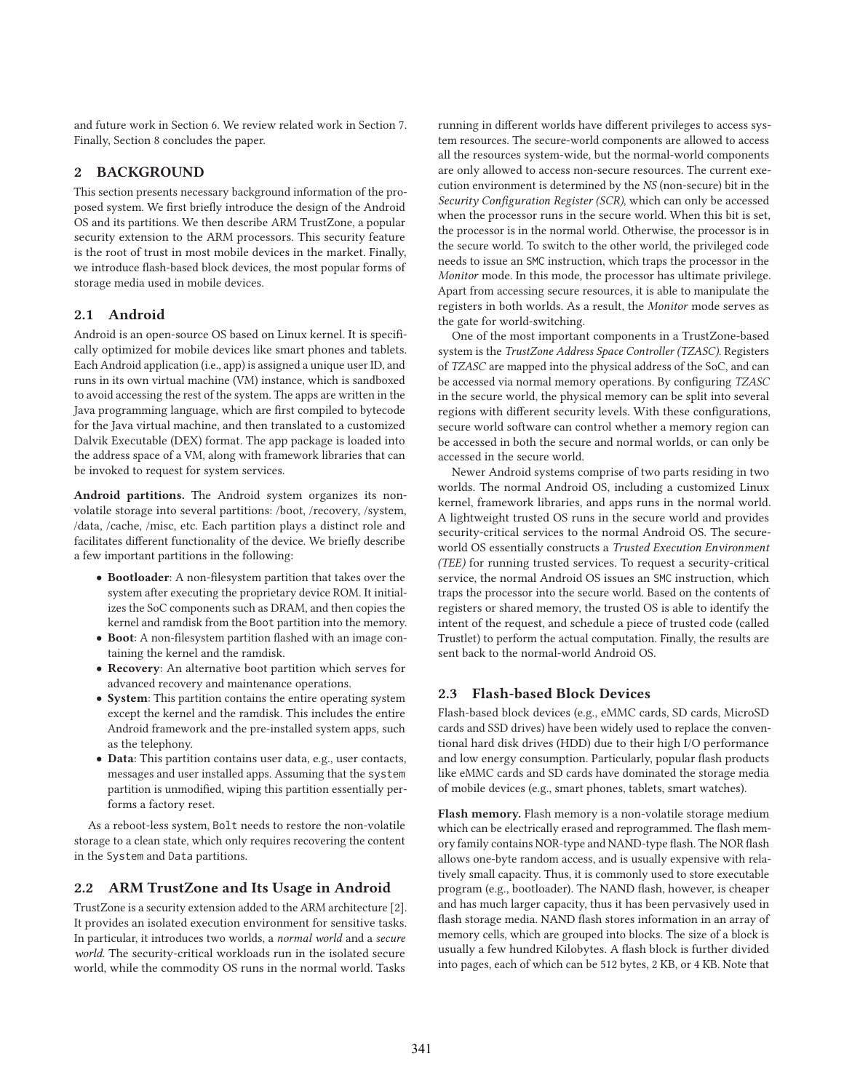and future work in Section 6. We review related work in Section 7. Finally, Section 8 concludes the paper.

# **2 BACKGROUND**

This section presents necessary background information of the proposed system. We first briefly introduce the design of the Android OS and its partitions. We then describe ARM TrustZone, a popular security extension to the ARM processors. This security feature is the root of trust in most mobile devices in the market. Finally, we introduce flash-based block devices, the most popular forms of storage media used in mobile devices.

## **2.1 Android**

Android is an open-source OS based on Linux kernel. It is specifically optimized for mobile devices like smart phones and tablets. Each Android application (i.e., app) is assigned a unique user ID, and runs in its own virtual machine (VM) instance, which is sandboxed to avoid accessing the rest of the system. The apps are written in the Java programming language, which are first compiled to bytecode for the Java virtual machine, and then translated to a customized Dalvik Executable (DEX) format. The app package is loaded into the address space of a VM, along with framework libraries that can be invoked to request for system services.

**Android partitions.** The Android system organizes its nonvolatile storage into several partitions: /boot, /recovery, /system, /data, /cache, /misc, etc. Each partition plays a distinct role and facilitates different functionality of the device. We briefly describe a few important partitions in the following:

- **Bootloader**: A non-filesystem partition that takes over the system after executing the proprietary device ROM. It initializes the SoC components such as DRAM, and then copies the kernel and ramdisk from the Boot partition into the memory.
- **Boot**: A non-filesystem partition flashed with an image containing the kernel and the ramdisk.
- **Recovery**: An alternative boot partition which serves for advanced recovery and maintenance operations.
- **System**: This partition contains the entire operating system except the kernel and the ramdisk. This includes the entire Android framework and the pre-installed system apps, such as the telephony.
- **Data**: This partition contains user data, e.g., user contacts, messages and user installed apps. Assuming that the system partition is unmodified, wiping this partition essentially performs a factory reset.

As a reboot-less system, Bolt needs to restore the non-volatile storage to a clean state, which only requires recovering the content in the System and Data partitions.

#### **2.2 ARM TrustZone and Its Usage in Android**

TrustZone is a security extension added to the ARM architecture [2]. It provides an isolated execution environment for sensitive tasks. In particular, it introduces two worlds, a *normal world* and a *secure world*. The security-critical workloads run in the isolated secure world, while the commodity OS runs in the normal world. Tasks

running in different worlds have different privileges to access system resources. The secure-world components are allowed to access all the resources system-wide, but the normal-world components are only allowed to access non-secure resources. The current execution environment is determined by the *NS* (non-secure) bit in the *Security Configuration Register (SCR)*, which can only be accessed when the processor runs in the secure world. When this bit is set, the processor is in the normal world. Otherwise, the processor is in the secure world. To switch to the other world, the privileged code needs to issue an SMC instruction, which traps the processor in the *Monitor* mode. In this mode, the processor has ultimate privilege. Apart from accessing secure resources, it is able to manipulate the registers in both worlds. As a result, the *Monitor* mode serves as the gate for world-switching.

One of the most important components in a TrustZone-based system is the *TrustZone Address Space Controller (TZASC)*. Registers of *TZASC* are mapped into the physical address of the SoC, and can be accessed via normal memory operations. By configuring *TZASC* in the secure world, the physical memory can be split into several regions with different security levels. With these configurations, secure world software can control whether a memory region can be accessed in both the secure and normal worlds, or can only be accessed in the secure world.

Newer Android systems comprise of two parts residing in two worlds. The normal Android OS, including a customized Linux kernel, framework libraries, and apps runs in the normal world. A lightweight trusted OS runs in the secure world and provides security-critical services to the normal Android OS. The secureworld OS essentially constructs a *Trusted Execution Environment (TEE)* for running trusted services. To request a security-critical service, the normal Android OS issues an SMC instruction, which traps the processor into the secure world. Based on the contents of registers or shared memory, the trusted OS is able to identify the intent of the request, and schedule a piece of trusted code (called Trustlet) to perform the actual computation. Finally, the results are sent back to the normal-world Android OS.

#### **2.3 Flash-based Block Devices**

Flash-based block devices (e.g., eMMC cards, SD cards, MicroSD cards and SSD drives) have been widely used to replace the conventional hard disk drives (HDD) due to their high I/O performance and low energy consumption. Particularly, popular flash products like eMMC cards and SD cards have dominated the storage media of mobile devices (e.g., smart phones, tablets, smart watches).

**Flash memory.** Flash memory is a non-volatile storage medium which can be electrically erased and reprogrammed. The flash memory family contains NOR-type and NAND-type flash. The NOR flash allows one-byte random access, and is usually expensive with relatively small capacity. Thus, it is commonly used to store executable program (e.g., bootloader). The NAND flash, however, is cheaper and has much larger capacity, thus it has been pervasively used in flash storage media. NAND flash stores information in an array of memory cells, which are grouped into blocks. The size of a block is usually a few hundred Kilobytes. A flash block is further divided into pages, each of which can be 512 bytes, 2 KB, or 4 KB. Note that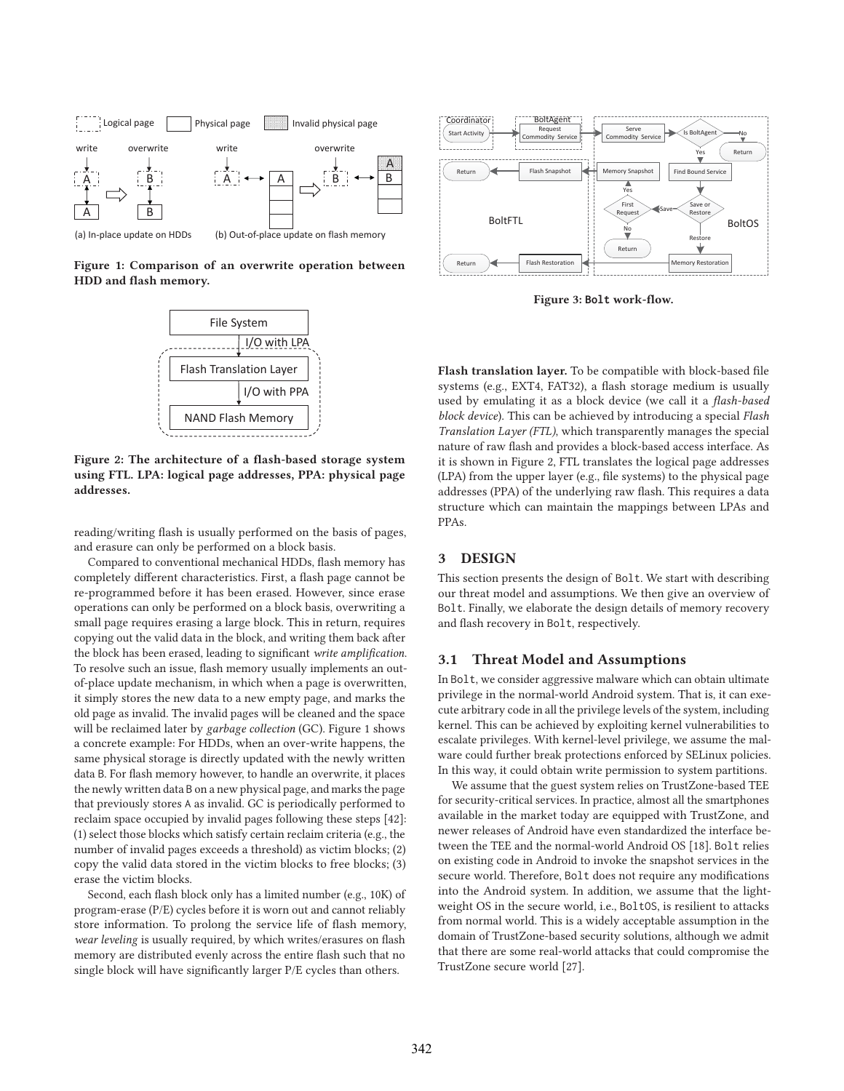

**Figure 1: Comparison of an overwrite operation between HDD and flash memory.**



**Figure 2: The architecture of a flash-based storage system using FTL. LPA: logical page addresses, PPA: physical page addresses.**

reading/writing flash is usually performed on the basis of pages, and erasure can only be performed on a block basis.

Compared to conventional mechanical HDDs, flash memory has completely different characteristics. First, a flash page cannot be re-programmed before it has been erased. However, since erase operations can only be performed on a block basis, overwriting a small page requires erasing a large block. This in return, requires copying out the valid data in the block, and writing them back after the block has been erased, leading to significant *write amplification*. To resolve such an issue, flash memory usually implements an outof-place update mechanism, in which when a page is overwritten, it simply stores the new data to a new empty page, and marks the old page as invalid. The invalid pages will be cleaned and the space will be reclaimed later by *garbage collection* (GC). Figure 1 shows a concrete example: For HDDs, when an over-write happens, the same physical storage is directly updated with the newly written data B. For flash memory however, to handle an overwrite, it places the newly written data B on a new physical page, and marks the page that previously stores A as invalid. GC is periodically performed to reclaim space occupied by invalid pages following these steps [42]: (1) select those blocks which satisfy certain reclaim criteria (e.g., the number of invalid pages exceeds a threshold) as victim blocks; (2) copy the valid data stored in the victim blocks to free blocks; (3) erase the victim blocks.

Second, each flash block only has a limited number (e.g., 10K) of program-erase (P/E) cycles before it is worn out and cannot reliably store information. To prolong the service life of flash memory, *wear leveling* is usually required, by which writes/erasures on flash memory are distributed evenly across the entire flash such that no single block will have significantly larger P/E cycles than others.



**Figure 3: Bolt work-flow.**

**Flash translation layer.** To be compatible with block-based file systems (e.g., EXT4, FAT32), a flash storage medium is usually used by emulating it as a block device (we call it a *flash-based block device*). This can be achieved by introducing a special *Flash Translation Layer (FTL)*, which transparently manages the special nature of raw flash and provides a block-based access interface. As it is shown in Figure 2, FTL translates the logical page addresses (LPA) from the upper layer (e.g., file systems) to the physical page addresses (PPA) of the underlying raw flash. This requires a data structure which can maintain the mappings between LPAs and PPAs.

## **3 DESIGN**

This section presents the design of Bolt. We start with describing our threat model and assumptions. We then give an overview of Bolt. Finally, we elaborate the design details of memory recovery and flash recovery in Bolt, respectively.

### **3.1 Threat Model and Assumptions**

In Bolt, we consider aggressive malware which can obtain ultimate privilege in the normal-world Android system. That is, it can execute arbitrary code in all the privilege levels of the system, including kernel. This can be achieved by exploiting kernel vulnerabilities to escalate privileges. With kernel-level privilege, we assume the malware could further break protections enforced by SELinux policies. In this way, it could obtain write permission to system partitions.

We assume that the guest system relies on TrustZone-based TEE for security-critical services. In practice, almost all the smartphones available in the market today are equipped with TrustZone, and newer releases of Android have even standardized the interface between the TEE and the normal-world Android OS [18]. Bolt relies on existing code in Android to invoke the snapshot services in the secure world. Therefore, Bolt does not require any modifications into the Android system. In addition, we assume that the lightweight OS in the secure world, i.e., BoltOS, is resilient to attacks from normal world. This is a widely acceptable assumption in the domain of TrustZone-based security solutions, although we admit that there are some real-world attacks that could compromise the TrustZone secure world [27].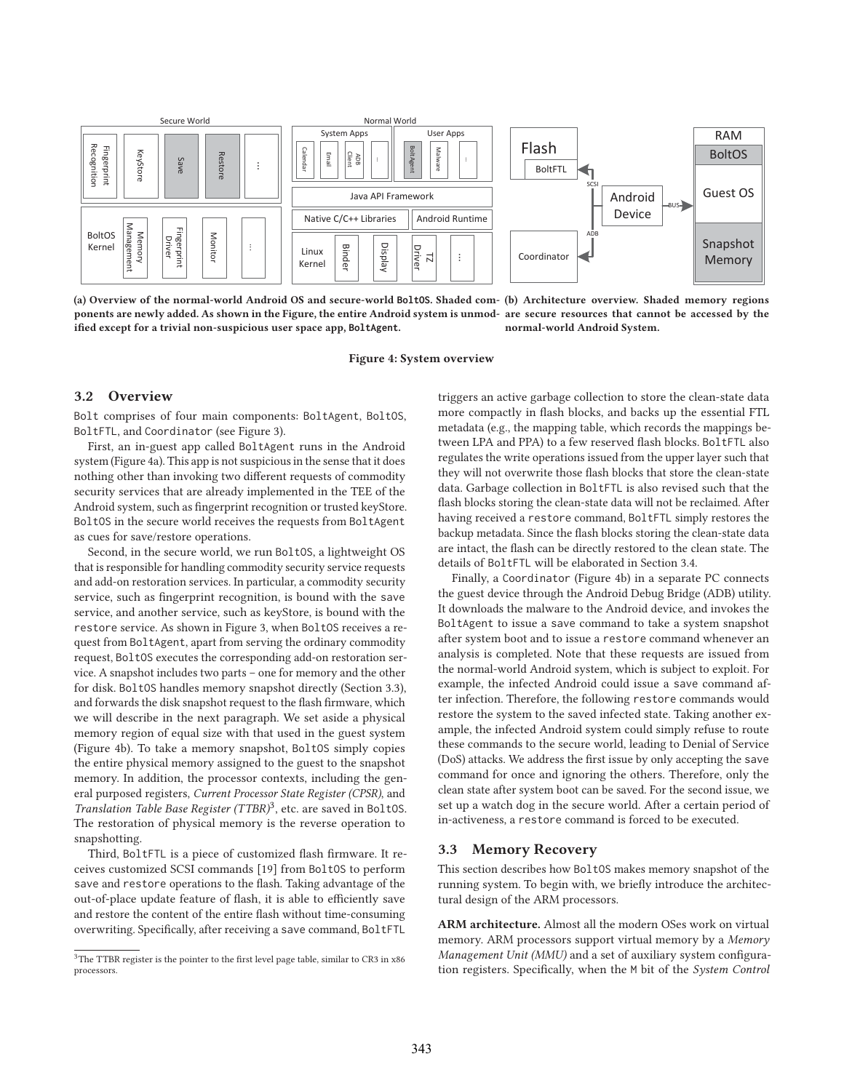

**(a) Overview of the normal-world Android OS and secure-world BoltOS. Shaded com-(b) Architecture overview. Shaded memory regions ponents are newly added. As shown in the Figure, the entire Android system is unmod-are secure resources that cannot be accessed by the ified except for a trivial non-suspicious user space app, BoltAgent. normal-world Android System.**

**Figure 4: System overview**

#### **3.2 Overview**

Bolt comprises of four main components: BoltAgent, BoltOS, BoltFTL, and Coordinator (see Figure 3).

First, an in-guest app called BoltAgent runs in the Android system (Figure 4a). This app is not suspicious in the sense that it does nothing other than invoking two different requests of commodity security services that are already implemented in the TEE of the Android system, such as fingerprint recognition or trusted keyStore. BoltOS in the secure world receives the requests from BoltAgent as cues for save/restore operations.

Second, in the secure world, we run BoltOS, a lightweight OS that is responsible for handling commodity security service requests and add-on restoration services. In particular, a commodity security service, such as fingerprint recognition, is bound with the save service, and another service, such as keyStore, is bound with the restore service. As shown in Figure 3, when BoltOS receives a request from BoltAgent, apart from serving the ordinary commodity request, BoltOS executes the corresponding add-on restoration service. A snapshot includes two parts – one for memory and the other for disk. BoltOS handles memory snapshot directly (Section 3.3), and forwards the disk snapshot request to the flash firmware, which we will describe in the next paragraph. We set aside a physical memory region of equal size with that used in the guest system (Figure 4b). To take a memory snapshot, BoltOS simply copies the entire physical memory assigned to the guest to the snapshot memory. In addition, the processor contexts, including the general purposed registers, *Current Processor State Register (CPSR)*, and *Translation Table Base Register (TTBR)*3, etc. are saved in BoltOS. The restoration of physical memory is the reverse operation to snapshotting.

Third, BoltFTL is a piece of customized flash firmware. It receives customized SCSI commands [19] from BoltOS to perform save and restore operations to the flash. Taking advantage of the out-of-place update feature of flash, it is able to efficiently save and restore the content of the entire flash without time-consuming overwriting. Specifically, after receiving a save command, BoltFTL

triggers an active garbage collection to store the clean-state data more compactly in flash blocks, and backs up the essential FTL metadata (e.g., the mapping table, which records the mappings between LPA and PPA) to a few reserved flash blocks. BoltFTL also regulates the write operations issued from the upper layer such that they will not overwrite those flash blocks that store the clean-state data. Garbage collection in BoltFTL is also revised such that the flash blocks storing the clean-state data will not be reclaimed. After having received a restore command, BoltFTL simply restores the backup metadata. Since the flash blocks storing the clean-state data are intact, the flash can be directly restored to the clean state. The details of BoltFTL will be elaborated in Section 3.4.

Finally, a Coordinator (Figure 4b) in a separate PC connects the guest device through the Android Debug Bridge (ADB) utility. It downloads the malware to the Android device, and invokes the BoltAgent to issue a save command to take a system snapshot after system boot and to issue a restore command whenever an analysis is completed. Note that these requests are issued from the normal-world Android system, which is subject to exploit. For example, the infected Android could issue a save command after infection. Therefore, the following restore commands would restore the system to the saved infected state. Taking another example, the infected Android system could simply refuse to route these commands to the secure world, leading to Denial of Service (DoS) attacks. We address the first issue by only accepting the save command for once and ignoring the others. Therefore, only the clean state after system boot can be saved. For the second issue, we set up a watch dog in the secure world. After a certain period of in-activeness, a restore command is forced to be executed.

#### **3.3 Memory Recovery**

This section describes how BoltOS makes memory snapshot of the running system. To begin with, we briefly introduce the architectural design of the ARM processors.

**ARM architecture.** Almost all the modern OSes work on virtual memory. ARM processors support virtual memory by a *Memory Management Unit (MMU)* and a set of auxiliary system configuration registers. Specifically, when the M bit of the *System Control*

 ${}^{3}\mathrm{The\ TTBR\ register}$  is the pointer to the first level page table, similar to CR3 in x86 processors.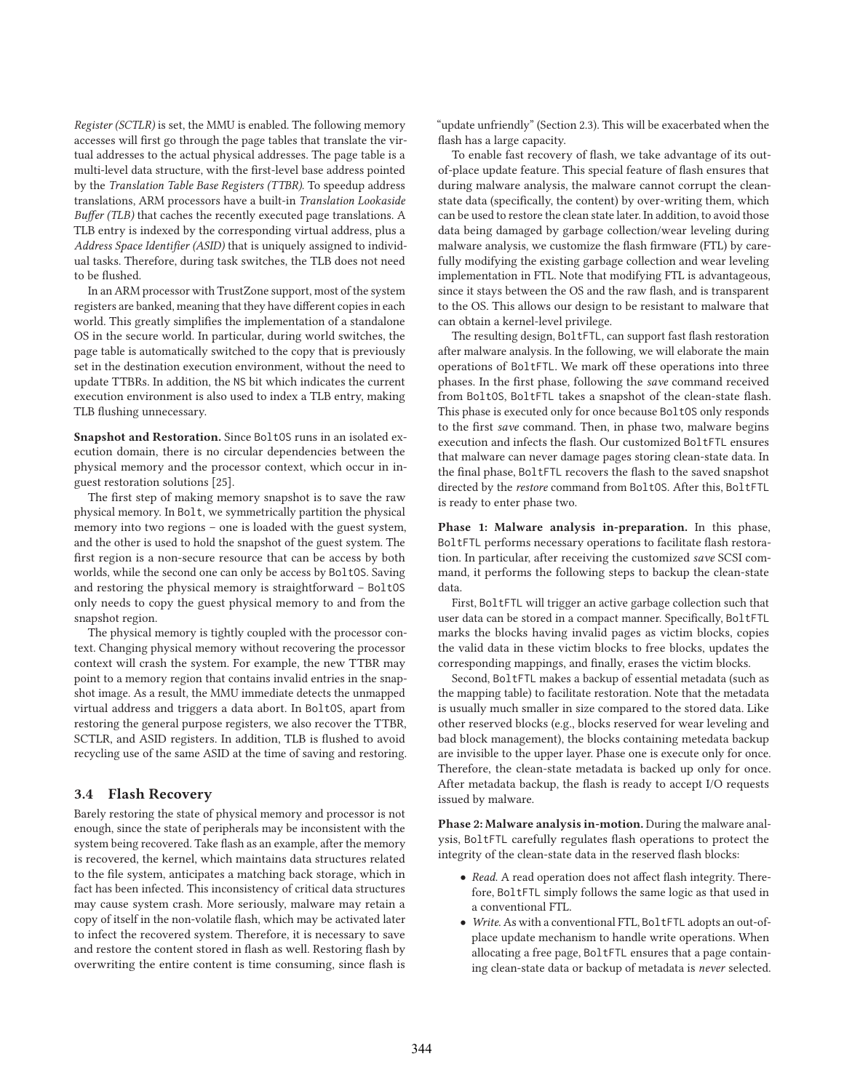*Register (SCTLR)* is set, the MMU is enabled. The following memory accesses will first go through the page tables that translate the virtual addresses to the actual physical addresses. The page table is a multi-level data structure, with the first-level base address pointed by the *Translation Table Base Registers (TTBR)*. To speedup address translations, ARM processors have a built-in *Translation Lookaside Buffer (TLB)* that caches the recently executed page translations. A TLB entry is indexed by the corresponding virtual address, plus a *Address Space Identifier (ASID)* that is uniquely assigned to individual tasks. Therefore, during task switches, the TLB does not need to be flushed.

In an ARM processor with TrustZone support, most of the system registers are banked, meaning that they have different copies in each world. This greatly simplifies the implementation of a standalone OS in the secure world. In particular, during world switches, the page table is automatically switched to the copy that is previously set in the destination execution environment, without the need to update TTBRs. In addition, the NS bit which indicates the current execution environment is also used to index a TLB entry, making TLB flushing unnecessary.

**Snapshot and Restoration.** Since BoltOS runs in an isolated execution domain, there is no circular dependencies between the physical memory and the processor context, which occur in inguest restoration solutions [25].

The first step of making memory snapshot is to save the raw physical memory. In Bolt, we symmetrically partition the physical memory into two regions – one is loaded with the guest system, and the other is used to hold the snapshot of the guest system. The first region is a non-secure resource that can be access by both worlds, while the second one can only be access by BoltOS. Saving and restoring the physical memory is straightforward – BoltOS only needs to copy the guest physical memory to and from the snapshot region.

The physical memory is tightly coupled with the processor context. Changing physical memory without recovering the processor context will crash the system. For example, the new TTBR may point to a memory region that contains invalid entries in the snapshot image. As a result, the MMU immediate detects the unmapped virtual address and triggers a data abort. In BoltOS, apart from restoring the general purpose registers, we also recover the TTBR, SCTLR, and ASID registers. In addition, TLB is flushed to avoid recycling use of the same ASID at the time of saving and restoring.

#### **3.4 Flash Recovery**

Barely restoring the state of physical memory and processor is not enough, since the state of peripherals may be inconsistent with the system being recovered. Take flash as an example, after the memory is recovered, the kernel, which maintains data structures related to the file system, anticipates a matching back storage, which in fact has been infected. This inconsistency of critical data structures may cause system crash. More seriously, malware may retain a copy of itself in the non-volatile flash, which may be activated later to infect the recovered system. Therefore, it is necessary to save and restore the content stored in flash as well. Restoring flash by overwriting the entire content is time consuming, since flash is "update unfriendly" (Section 2.3). This will be exacerbated when the flash has a large capacity.

To enable fast recovery of flash, we take advantage of its outof-place update feature. This special feature of flash ensures that during malware analysis, the malware cannot corrupt the cleanstate data (specifically, the content) by over-writing them, which can be used to restore the clean state later. In addition, to avoid those data being damaged by garbage collection/wear leveling during malware analysis, we customize the flash firmware (FTL) by carefully modifying the existing garbage collection and wear leveling implementation in FTL. Note that modifying FTL is advantageous, since it stays between the OS and the raw flash, and is transparent to the OS. This allows our design to be resistant to malware that can obtain a kernel-level privilege.

The resulting design, BoltFTL, can support fast flash restoration after malware analysis. In the following, we will elaborate the main operations of BoltFTL. We mark off these operations into three phases. In the first phase, following the *save* command received from BoltOS, BoltFTL takes a snapshot of the clean-state flash. This phase is executed only for once because BoltOS only responds to the first *save* command. Then, in phase two, malware begins execution and infects the flash. Our customized BoltFTL ensures that malware can never damage pages storing clean-state data. In the final phase, BoltFTL recovers the flash to the saved snapshot directed by the *restore* command from BoltOS. After this, BoltFTL is ready to enter phase two.

**Phase 1: Malware analysis in-preparation.** In this phase, BoltFTL performs necessary operations to facilitate flash restoration. In particular, after receiving the customized *save* SCSI command, it performs the following steps to backup the clean-state data.

First, BoltFTL will trigger an active garbage collection such that user data can be stored in a compact manner. Specifically, BoltFTL marks the blocks having invalid pages as victim blocks, copies the valid data in these victim blocks to free blocks, updates the corresponding mappings, and finally, erases the victim blocks.

Second, BoltFTL makes a backup of essential metadata (such as the mapping table) to facilitate restoration. Note that the metadata is usually much smaller in size compared to the stored data. Like other reserved blocks (e.g., blocks reserved for wear leveling and bad block management), the blocks containing metedata backup are invisible to the upper layer. Phase one is execute only for once. Therefore, the clean-state metadata is backed up only for once. After metadata backup, the flash is ready to accept I/O requests issued by malware.

**Phase 2: Malware analysis in-motion.** During the malware analysis, BoltFTL carefully regulates flash operations to protect the integrity of the clean-state data in the reserved flash blocks:

- *Read.* A read operation does not affect flash integrity. Therefore, BoltFTL simply follows the same logic as that used in a conventional FTL.
- *Write*. As with a conventional FTL, BoltFTL adopts an out-ofplace update mechanism to handle write operations. When allocating a free page, BoltFTL ensures that a page containing clean-state data or backup of metadata is *never* selected.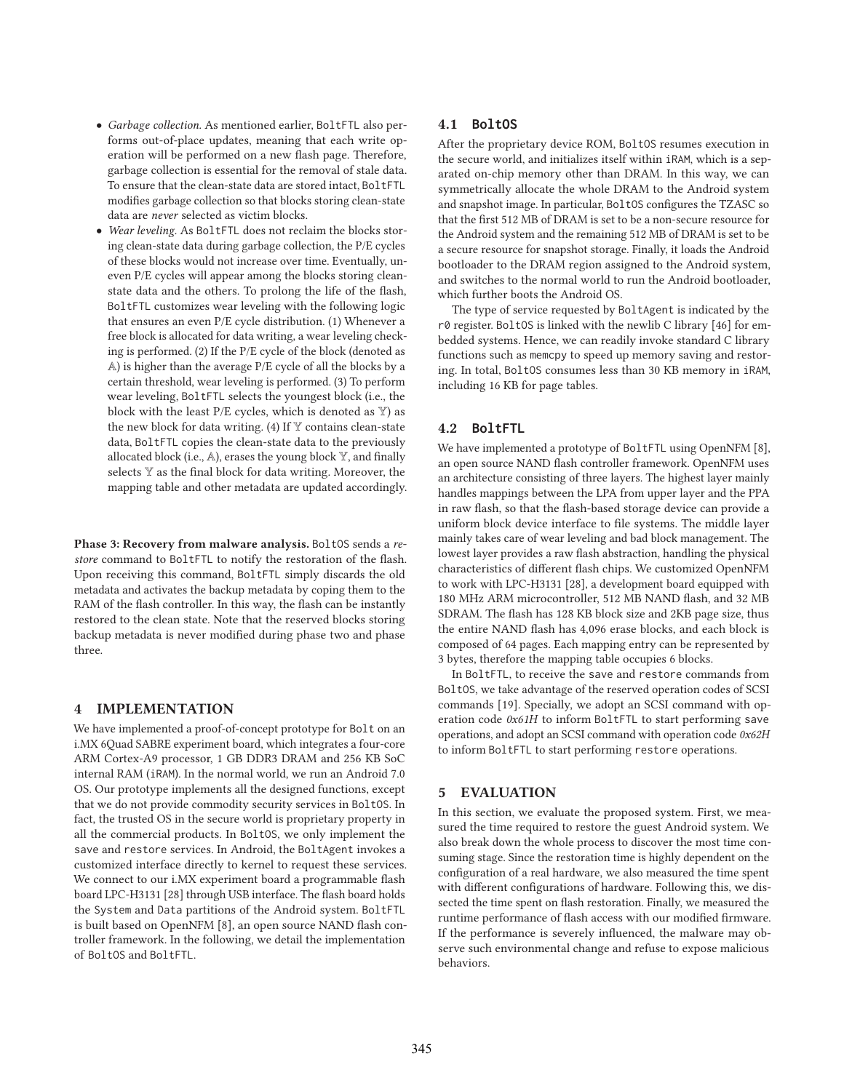- *Garbage collection.* As mentioned earlier, BoltFTL also performs out-of-place updates, meaning that each write operation will be performed on a new flash page. Therefore, garbage collection is essential for the removal of stale data. To ensure that the clean-state data are stored intact, BoltFTL modifies garbage collection so that blocks storing clean-state data are *never* selected as victim blocks.
- *Wear leveling.* As BoltFTL does not reclaim the blocks storing clean-state data during garbage collection, the P/E cycles of these blocks would not increase over time. Eventually, uneven P/E cycles will appear among the blocks storing cleanstate data and the others. To prolong the life of the flash, BoltFTL customizes wear leveling with the following logic that ensures an even P/E cycle distribution. (1) Whenever a free block is allocated for data writing, a wear leveling checking is performed. (2) If the P/E cycle of the block (denoted as A) is higher than the average P/E cycle of all the blocks by a certain threshold, wear leveling is performed. (3) To perform wear leveling, BoltFTL selects the youngest block (i.e., the block with the least  $P/E$  cycles, which is denoted as  $Y$ ) as the new block for data writing. (4) If  $\mathbb {Y}$  contains clean-state data, BoltFTL copies the clean-state data to the previously allocated block (i.e.,  $A$ ), erases the young block  $Y$ , and finally selects Y as the final block for data writing. Moreover, the mapping table and other metadata are updated accordingly.

**Phase 3: Recovery from malware analysis.** BoltOS sends a *restore* command to BoltFTL to notify the restoration of the flash. Upon receiving this command, BoltFTL simply discards the old metadata and activates the backup metadata by coping them to the RAM of the flash controller. In this way, the flash can be instantly restored to the clean state. Note that the reserved blocks storing backup metadata is never modified during phase two and phase three.

### **4 IMPLEMENTATION**

We have implemented a proof-of-concept prototype for Bolt on an i.MX 6Quad SABRE experiment board, which integrates a four-core ARM Cortex-A9 processor, 1 GB DDR3 DRAM and 256 KB SoC internal RAM (iRAM). In the normal world, we run an Android 7.0 OS. Our prototype implements all the designed functions, except that we do not provide commodity security services in BoltOS. In fact, the trusted OS in the secure world is proprietary property in all the commercial products. In BoltOS, we only implement the save and restore services. In Android, the BoltAgent invokes a customized interface directly to kernel to request these services. We connect to our i.MX experiment board a programmable flash board LPC-H3131 [28] through USB interface. The flash board holds the System and Data partitions of the Android system. BoltFTL is built based on OpenNFM [8], an open source NAND flash controller framework. In the following, we detail the implementation of BoltOS and BoltFTL.

#### **4.1 BoltOS**

After the proprietary device ROM, BoltOS resumes execution in the secure world, and initializes itself within iRAM, which is a separated on-chip memory other than DRAM. In this way, we can symmetrically allocate the whole DRAM to the Android system and snapshot image. In particular, BoltOS configures the TZASC so that the first 512 MB of DRAM is set to be a non-secure resource for the Android system and the remaining 512 MB of DRAM is set to be a secure resource for snapshot storage. Finally, it loads the Android bootloader to the DRAM region assigned to the Android system, and switches to the normal world to run the Android bootloader, which further boots the Android OS.

The type of service requested by BoltAgent is indicated by the r0 register. BoltOS is linked with the newlib C library [46] for embedded systems. Hence, we can readily invoke standard C library functions such as memcpy to speed up memory saving and restoring. In total, BoltOS consumes less than 30 KB memory in iRAM, including 16 KB for page tables.

### **4.2 BoltFTL**

We have implemented a prototype of BoltFTL using OpenNFM [8], an open source NAND flash controller framework. OpenNFM uses an architecture consisting of three layers. The highest layer mainly handles mappings between the LPA from upper layer and the PPA in raw flash, so that the flash-based storage device can provide a uniform block device interface to file systems. The middle layer mainly takes care of wear leveling and bad block management. The lowest layer provides a raw flash abstraction, handling the physical characteristics of different flash chips. We customized OpenNFM to work with LPC-H3131 [28], a development board equipped with 180 MHz ARM microcontroller, 512 MB NAND flash, and 32 MB SDRAM. The flash has 128 KB block size and 2KB page size, thus the entire NAND flash has 4,096 erase blocks, and each block is composed of 64 pages. Each mapping entry can be represented by 3 bytes, therefore the mapping table occupies 6 blocks.

In BoltFTL, to receive the save and restore commands from BoltOS, we take advantage of the reserved operation codes of SCSI commands [19]. Specially, we adopt an SCSI command with operation code *0x61H* to inform BoltFTL to start performing save operations, and adopt an SCSI command with operation code *0x62H* to inform BoltFTL to start performing restore operations.

# **5 EVALUATION**

In this section, we evaluate the proposed system. First, we measured the time required to restore the guest Android system. We also break down the whole process to discover the most time consuming stage. Since the restoration time is highly dependent on the configuration of a real hardware, we also measured the time spent with different configurations of hardware. Following this, we dissected the time spent on flash restoration. Finally, we measured the runtime performance of flash access with our modified firmware. If the performance is severely influenced, the malware may observe such environmental change and refuse to expose malicious behaviors.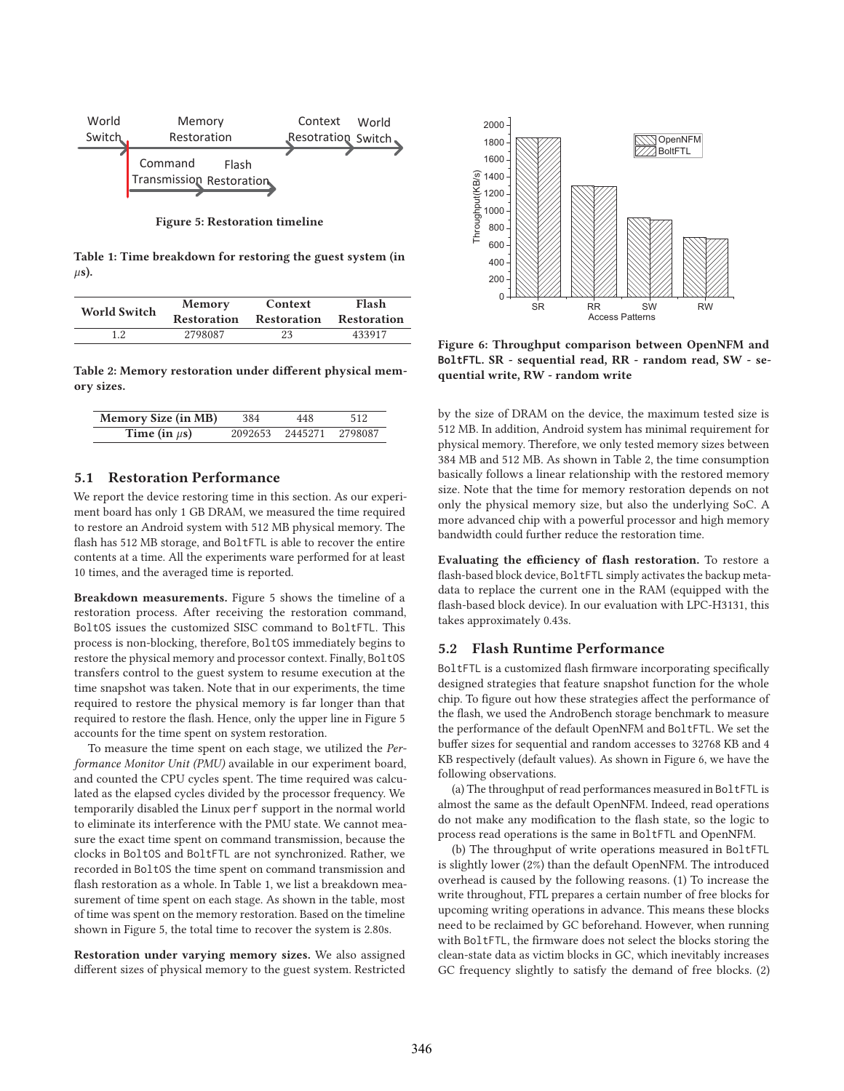

**Figure 5: Restoration timeline**

**Table 1: Time breakdown for restoring the guest system (in** μ**s).**

| World Switch | <b>Memory</b>      | Context            | Flash              |
|--------------|--------------------|--------------------|--------------------|
|              | <b>Restoration</b> | <b>Restoration</b> | <b>Restoration</b> |
| 19           | 2798087            | 23                 | 433917             |

**Table 2: Memory restoration under different physical memory sizes.**

| <b>Memory Size (in MB)</b> | 384 | 448                     | 512 |
|----------------------------|-----|-------------------------|-----|
| Time (in $\mu$ s)          |     | 2092653 2445271 2798087 |     |

# **5.1 Restoration Performance**

We report the device restoring time in this section. As our experiment board has only 1 GB DRAM, we measured the time required to restore an Android system with 512 MB physical memory. The flash has 512 MB storage, and BoltFTL is able to recover the entire contents at a time. All the experiments ware performed for at least 10 times, and the averaged time is reported.

**Breakdown measurements.** Figure 5 shows the timeline of a restoration process. After receiving the restoration command, BoltOS issues the customized SISC command to BoltFTL. This process is non-blocking, therefore, BoltOS immediately begins to restore the physical memory and processor context. Finally, BoltOS transfers control to the guest system to resume execution at the time snapshot was taken. Note that in our experiments, the time required to restore the physical memory is far longer than that required to restore the flash. Hence, only the upper line in Figure 5 accounts for the time spent on system restoration.

To measure the time spent on each stage, we utilized the *Performance Monitor Unit (PMU)* available in our experiment board, and counted the CPU cycles spent. The time required was calculated as the elapsed cycles divided by the processor frequency. We temporarily disabled the Linux perf support in the normal world to eliminate its interference with the PMU state. We cannot measure the exact time spent on command transmission, because the clocks in BoltOS and BoltFTL are not synchronized. Rather, we recorded in BoltOS the time spent on command transmission and flash restoration as a whole. In Table 1, we list a breakdown measurement of time spent on each stage. As shown in the table, most of time was spent on the memory restoration. Based on the timeline shown in Figure 5, the total time to recover the system is 2.80s.

**Restoration under varying memory sizes.** We also assigned different sizes of physical memory to the guest system. Restricted



**Figure 6: Throughput comparison between OpenNFM and BoltFTL. SR - sequential read, RR - random read, SW - sequential write, RW - random write**

by the size of DRAM on the device, the maximum tested size is 512 MB. In addition, Android system has minimal requirement for physical memory. Therefore, we only tested memory sizes between 384 MB and 512 MB. As shown in Table 2, the time consumption basically follows a linear relationship with the restored memory size. Note that the time for memory restoration depends on not only the physical memory size, but also the underlying SoC. A more advanced chip with a powerful processor and high memory bandwidth could further reduce the restoration time.

**Evaluating the efficiency of flash restoration.** To restore a flash-based block device, BoltFTL simply activates the backup metadata to replace the current one in the RAM (equipped with the flash-based block device). In our evaluation with LPC-H3131, this takes approximately 0.43s.

## **5.2 Flash Runtime Performance**

BoltFTL is a customized flash firmware incorporating specifically designed strategies that feature snapshot function for the whole chip. To figure out how these strategies affect the performance of the flash, we used the AndroBench storage benchmark to measure the performance of the default OpenNFM and BoltFTL. We set the buffer sizes for sequential and random accesses to 32768 KB and 4 KB respectively (default values). As shown in Figure 6, we have the following observations.

(a) The throughput of read performances measured in BoltFTL is almost the same as the default OpenNFM. Indeed, read operations do not make any modification to the flash state, so the logic to process read operations is the same in BoltFTL and OpenNFM.

(b) The throughput of write operations measured in BoltFTL is slightly lower (2%) than the default OpenNFM. The introduced overhead is caused by the following reasons. (1) To increase the write throughout, FTL prepares a certain number of free blocks for upcoming writing operations in advance. This means these blocks need to be reclaimed by GC beforehand. However, when running with BoltFTL, the firmware does not select the blocks storing the clean-state data as victim blocks in GC, which inevitably increases GC frequency slightly to satisfy the demand of free blocks. (2)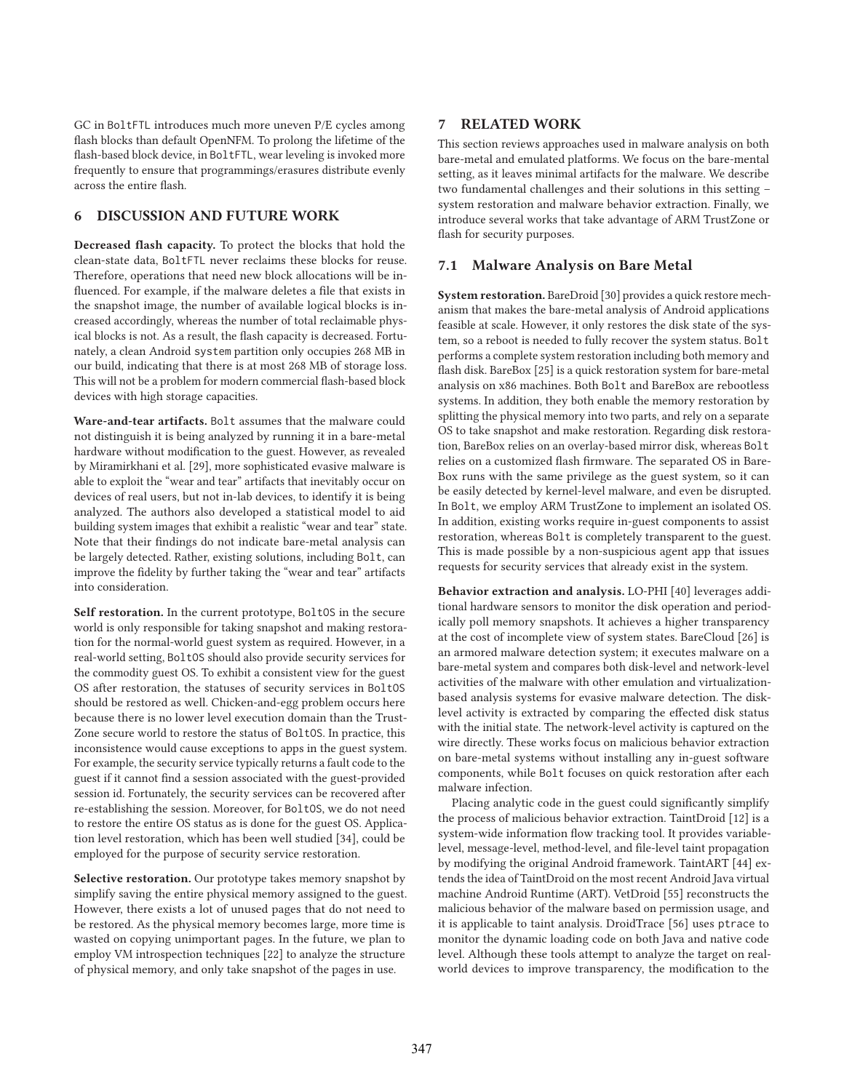GC in BoltFTL introduces much more uneven P/E cycles among flash blocks than default OpenNFM. To prolong the lifetime of the flash-based block device, in BoltFTL, wear leveling is invoked more frequently to ensure that programmings/erasures distribute evenly across the entire flash.

# **6 DISCUSSION AND FUTURE WORK**

**Decreased flash capacity.** To protect the blocks that hold the clean-state data, BoltFTL never reclaims these blocks for reuse. Therefore, operations that need new block allocations will be influenced. For example, if the malware deletes a file that exists in the snapshot image, the number of available logical blocks is increased accordingly, whereas the number of total reclaimable physical blocks is not. As a result, the flash capacity is decreased. Fortunately, a clean Android system partition only occupies 268 MB in our build, indicating that there is at most 268 MB of storage loss. This will not be a problem for modern commercial flash-based block devices with high storage capacities.

**Ware-and-tear artifacts.** Bolt assumes that the malware could not distinguish it is being analyzed by running it in a bare-metal hardware without modification to the guest. However, as revealed by Miramirkhani et al. [29], more sophisticated evasive malware is able to exploit the "wear and tear" artifacts that inevitably occur on devices of real users, but not in-lab devices, to identify it is being analyzed. The authors also developed a statistical model to aid building system images that exhibit a realistic "wear and tear" state. Note that their findings do not indicate bare-metal analysis can be largely detected. Rather, existing solutions, including Bolt, can improve the fidelity by further taking the "wear and tear" artifacts into consideration.

**Self restoration.** In the current prototype, BoltOS in the secure world is only responsible for taking snapshot and making restoration for the normal-world guest system as required. However, in a real-world setting, BoltOS should also provide security services for the commodity guest OS. To exhibit a consistent view for the guest OS after restoration, the statuses of security services in BoltOS should be restored as well. Chicken-and-egg problem occurs here because there is no lower level execution domain than the Trust-Zone secure world to restore the status of BoltOS. In practice, this inconsistence would cause exceptions to apps in the guest system. For example, the security service typically returns a fault code to the guest if it cannot find a session associated with the guest-provided session id. Fortunately, the security services can be recovered after re-establishing the session. Moreover, for BoltOS, we do not need to restore the entire OS status as is done for the guest OS. Application level restoration, which has been well studied [34], could be employed for the purpose of security service restoration.

**Selective restoration.** Our prototype takes memory snapshot by simplify saving the entire physical memory assigned to the guest. However, there exists a lot of unused pages that do not need to be restored. As the physical memory becomes large, more time is wasted on copying unimportant pages. In the future, we plan to employ VM introspection techniques [22] to analyze the structure of physical memory, and only take snapshot of the pages in use.

# **7 RELATED WORK**

This section reviews approaches used in malware analysis on both bare-metal and emulated platforms. We focus on the bare-mental setting, as it leaves minimal artifacts for the malware. We describe two fundamental challenges and their solutions in this setting – system restoration and malware behavior extraction. Finally, we introduce several works that take advantage of ARM TrustZone or flash for security purposes.

# **7.1 Malware Analysis on Bare Metal**

**System restoration.** BareDroid [30] provides a quick restore mechanism that makes the bare-metal analysis of Android applications feasible at scale. However, it only restores the disk state of the system, so a reboot is needed to fully recover the system status. Bolt performs a complete system restoration including both memory and flash disk. BareBox [25] is a quick restoration system for bare-metal analysis on x86 machines. Both Bolt and BareBox are rebootless systems. In addition, they both enable the memory restoration by splitting the physical memory into two parts, and rely on a separate OS to take snapshot and make restoration. Regarding disk restoration, BareBox relies on an overlay-based mirror disk, whereas Bolt relies on a customized flash firmware. The separated OS in Bare-Box runs with the same privilege as the guest system, so it can be easily detected by kernel-level malware, and even be disrupted. In Bolt, we employ ARM TrustZone to implement an isolated OS. In addition, existing works require in-guest components to assist restoration, whereas Bolt is completely transparent to the guest. This is made possible by a non-suspicious agent app that issues requests for security services that already exist in the system.

**Behavior extraction and analysis.** LO-PHI [40] leverages additional hardware sensors to monitor the disk operation and periodically poll memory snapshots. It achieves a higher transparency at the cost of incomplete view of system states. BareCloud [26] is an armored malware detection system; it executes malware on a bare-metal system and compares both disk-level and network-level activities of the malware with other emulation and virtualizationbased analysis systems for evasive malware detection. The disklevel activity is extracted by comparing the effected disk status with the initial state. The network-level activity is captured on the wire directly. These works focus on malicious behavior extraction on bare-metal systems without installing any in-guest software components, while Bolt focuses on quick restoration after each malware infection.

Placing analytic code in the guest could significantly simplify the process of malicious behavior extraction. TaintDroid [12] is a system-wide information flow tracking tool. It provides variablelevel, message-level, method-level, and file-level taint propagation by modifying the original Android framework. TaintART [44] extends the idea of TaintDroid on the most recent Android Java virtual machine Android Runtime (ART). VetDroid [55] reconstructs the malicious behavior of the malware based on permission usage, and it is applicable to taint analysis. DroidTrace [56] uses ptrace to monitor the dynamic loading code on both Java and native code level. Although these tools attempt to analyze the target on realworld devices to improve transparency, the modification to the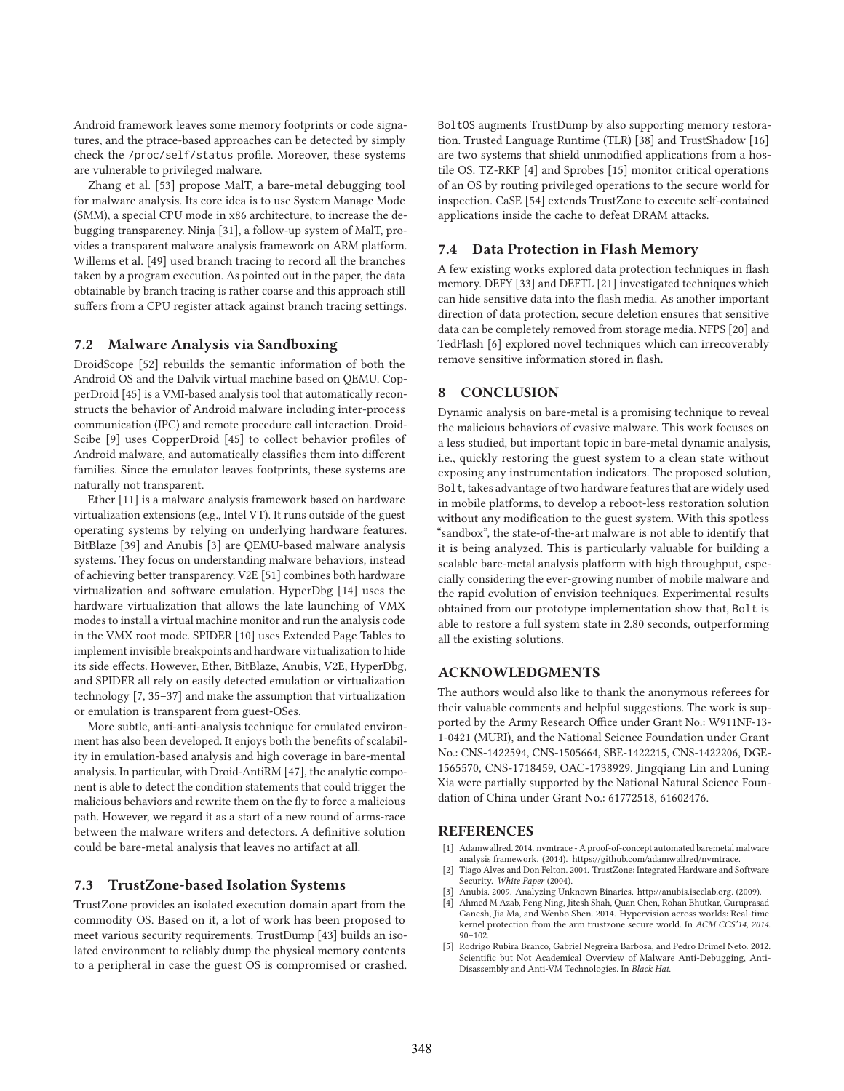Android framework leaves some memory footprints or code signatures, and the ptrace-based approaches can be detected by simply check the /proc/self/status profile. Moreover, these systems are vulnerable to privileged malware.

Zhang et al. [53] propose MalT, a bare-metal debugging tool for malware analysis. Its core idea is to use System Manage Mode (SMM), a special CPU mode in x86 architecture, to increase the debugging transparency. Ninja [31], a follow-up system of MalT, provides a transparent malware analysis framework on ARM platform. Willems et al. [49] used branch tracing to record all the branches taken by a program execution. As pointed out in the paper, the data obtainable by branch tracing is rather coarse and this approach still suffers from a CPU register attack against branch tracing settings.

#### **7.2 Malware Analysis via Sandboxing**

DroidScope [52] rebuilds the semantic information of both the Android OS and the Dalvik virtual machine based on QEMU. CopperDroid [45] is a VMI-based analysis tool that automatically reconstructs the behavior of Android malware including inter-process communication (IPC) and remote procedure call interaction. Droid-Scibe [9] uses CopperDroid [45] to collect behavior profiles of Android malware, and automatically classifies them into different families. Since the emulator leaves footprints, these systems are naturally not transparent.

Ether [11] is a malware analysis framework based on hardware virtualization extensions (e.g., Intel VT). It runs outside of the guest operating systems by relying on underlying hardware features. BitBlaze [39] and Anubis [3] are QEMU-based malware analysis systems. They focus on understanding malware behaviors, instead of achieving better transparency. V2E [51] combines both hardware virtualization and software emulation. HyperDbg [14] uses the hardware virtualization that allows the late launching of VMX modes to install a virtual machine monitor and run the analysis code in the VMX root mode. SPIDER [10] uses Extended Page Tables to implement invisible breakpoints and hardware virtualization to hide its side effects. However, Ether, BitBlaze, Anubis, V2E, HyperDbg, and SPIDER all rely on easily detected emulation or virtualization technology [7, 35–37] and make the assumption that virtualization or emulation is transparent from guest-OSes.

More subtle, anti-anti-analysis technique for emulated environment has also been developed. It enjoys both the benefits of scalability in emulation-based analysis and high coverage in bare-mental analysis. In particular, with Droid-AntiRM [47], the analytic component is able to detect the condition statements that could trigger the malicious behaviors and rewrite them on the fly to force a malicious path. However, we regard it as a start of a new round of arms-race between the malware writers and detectors. A definitive solution could be bare-metal analysis that leaves no artifact at all.

## **7.3 TrustZone-based Isolation Systems**

TrustZone provides an isolated execution domain apart from the commodity OS. Based on it, a lot of work has been proposed to meet various security requirements. TrustDump [43] builds an isolated environment to reliably dump the physical memory contents to a peripheral in case the guest OS is compromised or crashed. BoltOS augments TrustDump by also supporting memory restoration. Trusted Language Runtime (TLR) [38] and TrustShadow [16] are two systems that shield unmodified applications from a hostile OS. TZ-RKP [4] and Sprobes [15] monitor critical operations of an OS by routing privileged operations to the secure world for inspection. CaSE [54] extends TrustZone to execute self-contained applications inside the cache to defeat DRAM attacks.

#### **7.4 Data Protection in Flash Memory**

A few existing works explored data protection techniques in flash memory. DEFY [33] and DEFTL [21] investigated techniques which can hide sensitive data into the flash media. As another important direction of data protection, secure deletion ensures that sensitive data can be completely removed from storage media. NFPS [20] and TedFlash [6] explored novel techniques which can irrecoverably remove sensitive information stored in flash.

## **8 CONCLUSION**

Dynamic analysis on bare-metal is a promising technique to reveal the malicious behaviors of evasive malware. This work focuses on a less studied, but important topic in bare-metal dynamic analysis, i.e., quickly restoring the guest system to a clean state without exposing any instrumentation indicators. The proposed solution, Bolt, takes advantage of two hardware features that are widely used in mobile platforms, to develop a reboot-less restoration solution without any modification to the guest system. With this spotless "sandbox", the state-of-the-art malware is not able to identify that it is being analyzed. This is particularly valuable for building a scalable bare-metal analysis platform with high throughput, especially considering the ever-growing number of mobile malware and the rapid evolution of envision techniques. Experimental results obtained from our prototype implementation show that, Bolt is able to restore a full system state in 2.80 seconds, outperforming all the existing solutions.

### **ACKNOWLEDGMENTS**

The authors would also like to thank the anonymous referees for their valuable comments and helpful suggestions. The work is supported by the Army Research Office under Grant No.: W911NF-13- 1-0421 (MURI), and the National Science Foundation under Grant No.: CNS-1422594, CNS-1505664, SBE-1422215, CNS-1422206, DGE-1565570, CNS-1718459, OAC-1738929. Jingqiang Lin and Luning Xia were partially supported by the National Natural Science Foundation of China under Grant No.: 61772518, 61602476.

#### **REFERENCES**

- [1] Adamwallred. 2014. nvmtrace A proof-of-concept automated baremetal malware analysis framework. (2014). https://github.com/adamwallred/nvmtrace.
- [2] Tiago Alves and Don Felton. 2004. TrustZone: Integrated Hardware and Software Security. *White Paper* (2004).
- Anubis. 2009. Analyzing Unknown Binaries. http://anubis.iseclab.org. (2009).
- [4] Ahmed M Azab, Peng Ning, Jitesh Shah, Quan Chen, Rohan Bhutkar, Guruprasad Ganesh, Jia Ma, and Wenbo Shen. 2014. Hypervision across worlds: Real-time kernel protection from the arm trustzone secure world. In *ACM CCS'14, 2014*. 90–102.
- [5] Rodrigo Rubira Branco, Gabriel Negreira Barbosa, and Pedro Drimel Neto. 2012. Scientific but Not Academical Overview of Malware Anti-Debugging, Anti-Disassembly and Anti-VM Technologies. In *Black Hat*.